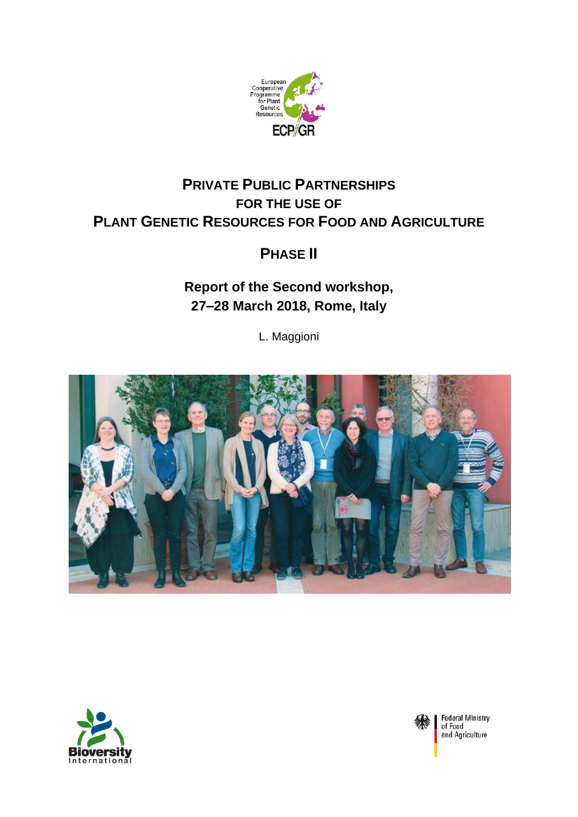

# **PRIVATE PUBLIC PARTNERSHIPS FOR THE USE OF PLANT GENETIC RESOURCES FOR FOOD AND AGRICULTURE**

# **PHASE II**

**Report of the Second workshop, 27–28 March 2018, Rome, Italy**

L. Maggioni







**Federal Ministry** of Food and Agriculture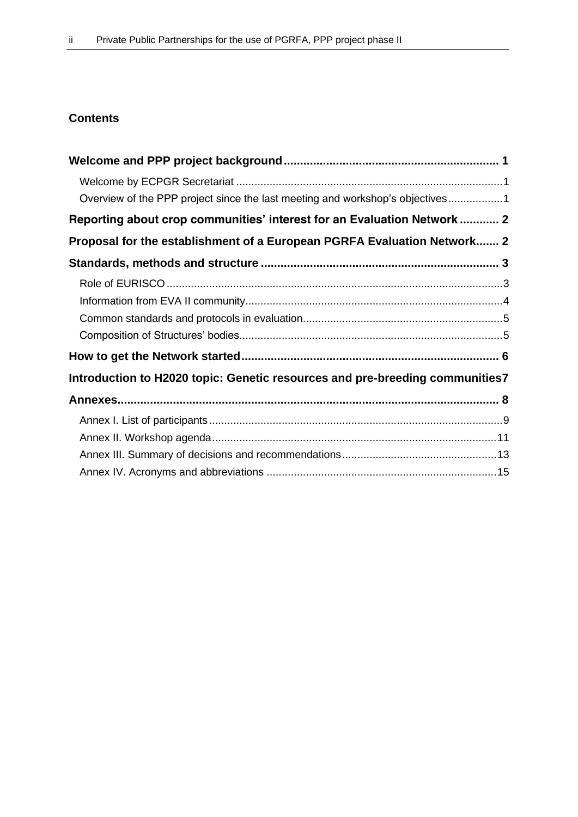## **Contents**

| Overview of the PPP project since the last meeting and workshop's objectives1 |  |
|-------------------------------------------------------------------------------|--|
| Reporting about crop communities' interest for an Evaluation Network  2       |  |
| Proposal for the establishment of a European PGRFA Evaluation Network 2       |  |
|                                                                               |  |
|                                                                               |  |
|                                                                               |  |
|                                                                               |  |
|                                                                               |  |
|                                                                               |  |
| Introduction to H2020 topic: Genetic resources and pre-breeding communities7  |  |
|                                                                               |  |
|                                                                               |  |
|                                                                               |  |
|                                                                               |  |
|                                                                               |  |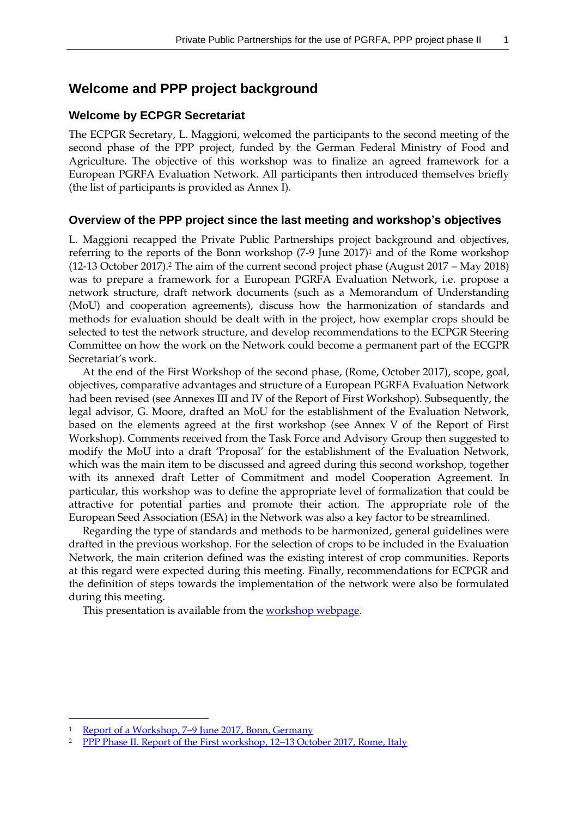### **Welcome and PPP project background**

### **Welcome by ECPGR Secretariat**

The ECPGR Secretary, L. Maggioni, welcomed the participants to the second meeting of the second phase of the PPP project, funded by the German Federal Ministry of Food and Agriculture. The objective of this workshop was to finalize an agreed framework for a European PGRFA Evaluation Network. All participants then introduced themselves briefly (the list of participants is provided as Annex I).

### **Overview of the PPP project since the last meeting and workshop's objectives**

L. Maggioni recapped the Private Public Partnerships project background and objectives, referring to the reports of the Bonn workshop  $(7-9)$  June  $2017$ <sup>1</sup> and of the Rome workshop (12-13 October 2017).<sup>2</sup> The aim of the current second project phase (August 2017 – May 2018) was to prepare a framework for a European PGRFA Evaluation Network, i.e. propose a network structure, draft network documents (such as a Memorandum of Understanding (MoU) and cooperation agreements), discuss how the harmonization of standards and methods for evaluation should be dealt with in the project, how exemplar crops should be selected to test the network structure, and develop recommendations to the ECPGR Steering Committee on how the work on the Network could become a permanent part of the ECGPR Secretariat's work.

At the end of the First Workshop of the second phase, (Rome, October 2017), scope, goal, objectives, comparative advantages and structure of a European PGRFA Evaluation Network had been revised (see Annexes III and IV of the Report of First Workshop). Subsequently, the legal advisor, G. Moore, drafted an MoU for the establishment of the Evaluation Network, based on the elements agreed at the first workshop (see Annex V of the Report of First Workshop). Comments received from the Task Force and Advisory Group then suggested to modify the MoU into a draft 'Proposal' for the establishment of the Evaluation Network, which was the main item to be discussed and agreed during this second workshop, together with its annexed draft Letter of Commitment and model Cooperation Agreement. In particular, this workshop was to define the appropriate level of formalization that could be attractive for potential parties and promote their action. The appropriate role of the European Seed Association (ESA) in the Network was also a key factor to be streamlined.

Regarding the type of standards and methods to be harmonized, general guidelines were drafted in the previous workshop. For the selection of crops to be included in the Evaluation Network, the main criterion defined was the existing interest of crop communities. Reports at this regard were expected during this meeting. Finally, recommendations for ECPGR and the definition of steps towards the implementation of the network were also be formulated during this meeting.

This presentation is available from the [workshop webpage.](http://www.ecpgr.cgiar.org/resources/ppp-private-public-partnerships/second-ppp-workshop-phase-ii/pppiipresentations/)

 $\overline{a}$ 

Report of a Workshop, 7-[9 June 2017, Bonn, Germany](http://www.ecpgr.cgiar.org/fileadmin/templates/ecpgr.org/upload/PPP_WORKSHOP/REPORT/PPP_workshop_report_FINAL_28072017.pdf)

<sup>&</sup>lt;sup>2</sup> [PPP Phase II. Report of the First workshop, 12](http://www.ecpgr.cgiar.org/fileadmin/bioversity/publications/pdfs/PPP_project_first_workshop_phase_II_report_final_24_11_2017.pdf)-13 October 2017, Rome, Italy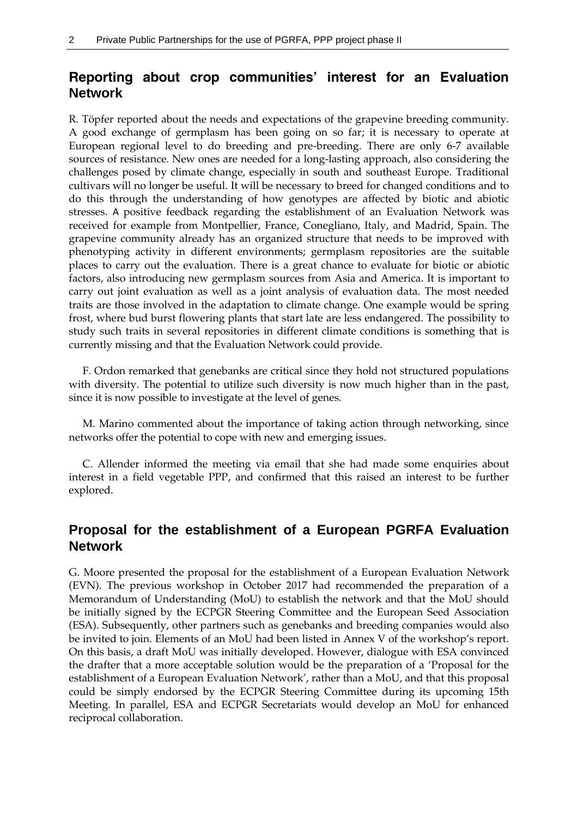# **Reporting about crop communities' interest for an Evaluation Network**

R. Töpfer reported about the needs and expectations of the grapevine breeding community. A good exchange of germplasm has been going on so far; it is necessary to operate at European regional level to do breeding and pre-breeding. There are only 6-7 available sources of resistance. New ones are needed for a long-lasting approach, also considering the challenges posed by climate change, especially in south and southeast Europe. Traditional cultivars will no longer be useful. It will be necessary to breed for changed conditions and to do this through the understanding of how genotypes are affected by biotic and abiotic stresses. A positive feedback regarding the establishment of an Evaluation Network was received for example from Montpellier, France, Conegliano, Italy, and Madrid, Spain. The grapevine community already has an organized structure that needs to be improved with phenotyping activity in different environments; germplasm repositories are the suitable places to carry out the evaluation. There is a great chance to evaluate for biotic or abiotic factors, also introducing new germplasm sources from Asia and America. It is important to carry out joint evaluation as well as a joint analysis of evaluation data. The most needed traits are those involved in the adaptation to climate change. One example would be spring frost, where bud burst flowering plants that start late are less endangered. The possibility to study such traits in several repositories in different climate conditions is something that is currently missing and that the Evaluation Network could provide.

F. Ordon remarked that genebanks are critical since they hold not structured populations with diversity. The potential to utilize such diversity is now much higher than in the past, since it is now possible to investigate at the level of genes.

M. Marino commented about the importance of taking action through networking, since networks offer the potential to cope with new and emerging issues.

C. Allender informed the meeting via email that she had made some enquiries about interest in a field vegetable PPP, and confirmed that this raised an interest to be further explored.

# **Proposal for the establishment of a European PGRFA Evaluation Network**

G. Moore presented the proposal for the establishment of a European Evaluation Network (EVN). The previous workshop in October 2017 had recommended the preparation of a Memorandum of Understanding (MoU) to establish the network and that the MoU should be initially signed by the ECPGR Steering Committee and the European Seed Association (ESA). Subsequently, other partners such as genebanks and breeding companies would also be invited to join. Elements of an MoU had been listed in Annex V of the workshop's report. On this basis, a draft MoU was initially developed. However, dialogue with ESA convinced the drafter that a more acceptable solution would be the preparation of a 'Proposal for the establishment of a European Evaluation Network', rather than a MoU, and that this proposal could be simply endorsed by the ECPGR Steering Committee during its upcoming 15th Meeting. In parallel, ESA and ECPGR Secretariats would develop an MoU for enhanced reciprocal collaboration.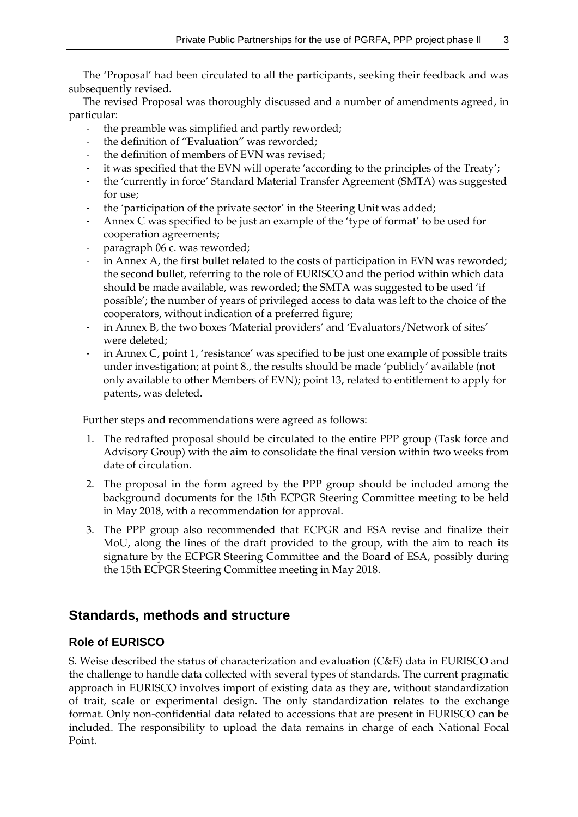The 'Proposal' had been circulated to all the participants, seeking their feedback and was subsequently revised.

The revised Proposal was thoroughly discussed and a number of amendments agreed, in particular:

- the preamble was simplified and partly reworded;
- the definition of "Evaluation" was reworded;
- the definition of members of EVN was revised;
- it was specified that the EVN will operate 'according to the principles of the Treaty';
- the 'currently in force' Standard Material Transfer Agreement (SMTA) was suggested for use;
- the 'participation of the private sector' in the Steering Unit was added;
- Annex C was specified to be just an example of the 'type of format' to be used for cooperation agreements;
- paragraph 06 c. was reworded;
- in Annex A, the first bullet related to the costs of participation in EVN was reworded; the second bullet, referring to the role of EURISCO and the period within which data should be made available, was reworded; the SMTA was suggested to be used 'if possible'; the number of years of privileged access to data was left to the choice of the cooperators, without indication of a preferred figure;
- in Annex B, the two boxes 'Material providers' and 'Evaluators/Network of sites' were deleted;
- in Annex C, point 1, 'resistance' was specified to be just one example of possible traits under investigation; at point 8., the results should be made 'publicly' available (not only available to other Members of EVN); point 13, related to entitlement to apply for patents, was deleted.

Further steps and recommendations were agreed as follows:

- 1. The redrafted proposal should be circulated to the entire PPP group (Task force and Advisory Group) with the aim to consolidate the final version within two weeks from date of circulation.
- 2. The proposal in the form agreed by the PPP group should be included among the background documents for the 15th ECPGR Steering Committee meeting to be held in May 2018, with a recommendation for approval.
- 3. The PPP group also recommended that ECPGR and ESA revise and finalize their MoU, along the lines of the draft provided to the group, with the aim to reach its signature by the ECPGR Steering Committee and the Board of ESA, possibly during the 15th ECPGR Steering Committee meeting in May 2018.

# **Standards, methods and structure**

### **Role of EURISCO**

S. Weise described the status of characterization and evaluation (C&E) data in EURISCO and the challenge to handle data collected with several types of standards. The current pragmatic approach in EURISCO involves import of existing data as they are, without standardization of trait, scale or experimental design. The only standardization relates to the exchange format. Only non-confidential data related to accessions that are present in EURISCO can be included. The responsibility to upload the data remains in charge of each National Focal Point.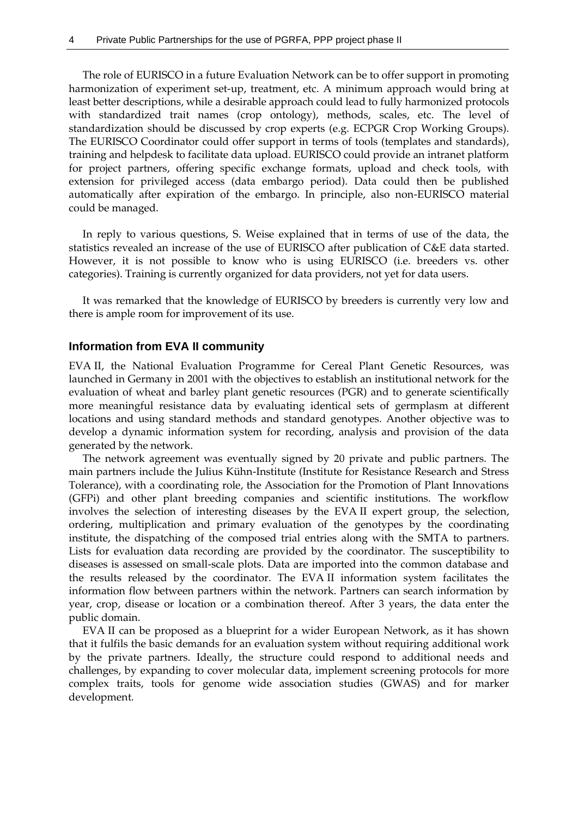The role of EURISCO in a future Evaluation Network can be to offer support in promoting harmonization of experiment set-up, treatment, etc. A minimum approach would bring at least better descriptions, while a desirable approach could lead to fully harmonized protocols with standardized trait names (crop ontology), methods, scales, etc. The level of standardization should be discussed by crop experts (e.g. ECPGR Crop Working Groups). The EURISCO Coordinator could offer support in terms of tools (templates and standards), training and helpdesk to facilitate data upload. EURISCO could provide an intranet platform for project partners, offering specific exchange formats, upload and check tools, with extension for privileged access (data embargo period). Data could then be published automatically after expiration of the embargo. In principle, also non-EURISCO material could be managed.

In reply to various questions, S. Weise explained that in terms of use of the data, the statistics revealed an increase of the use of EURISCO after publication of C&E data started. However, it is not possible to know who is using EURISCO (i.e. breeders vs. other categories). Training is currently organized for data providers, not yet for data users.

It was remarked that the knowledge of EURISCO by breeders is currently very low and there is ample room for improvement of its use.

#### **Information from EVA II community**

EVA II, the National Evaluation Programme for Cereal Plant Genetic Resources, was launched in Germany in 2001 with the objectives to establish an institutional network for the evaluation of wheat and barley plant genetic resources (PGR) and to generate scientifically more meaningful resistance data by evaluating identical sets of germplasm at different locations and using standard methods and standard genotypes. Another objective was to develop a dynamic information system for recording, analysis and provision of the data generated by the network.

The network agreement was eventually signed by 20 private and public partners. The main partners include the Julius Kühn-Institute (Institute for Resistance Research and Stress Tolerance), with a coordinating role, the Association for the Promotion of Plant Innovations (GFPi) and other plant breeding companies and scientific institutions. The workflow involves the selection of interesting diseases by the EVA II expert group, the selection, ordering, multiplication and primary evaluation of the genotypes by the coordinating institute, the dispatching of the composed trial entries along with the SMTA to partners. Lists for evaluation data recording are provided by the coordinator. The susceptibility to diseases is assessed on small-scale plots. Data are imported into the common database and the results released by the coordinator. The EVA II information system facilitates the information flow between partners within the network. Partners can search information by year, crop, disease or location or a combination thereof. After 3 years, the data enter the public domain.

EVA II can be proposed as a blueprint for a wider European Network, as it has shown that it fulfils the basic demands for an evaluation system without requiring additional work by the private partners. Ideally, the structure could respond to additional needs and challenges, by expanding to cover molecular data, implement screening protocols for more complex traits, tools for genome wide association studies (GWAS) and for marker development.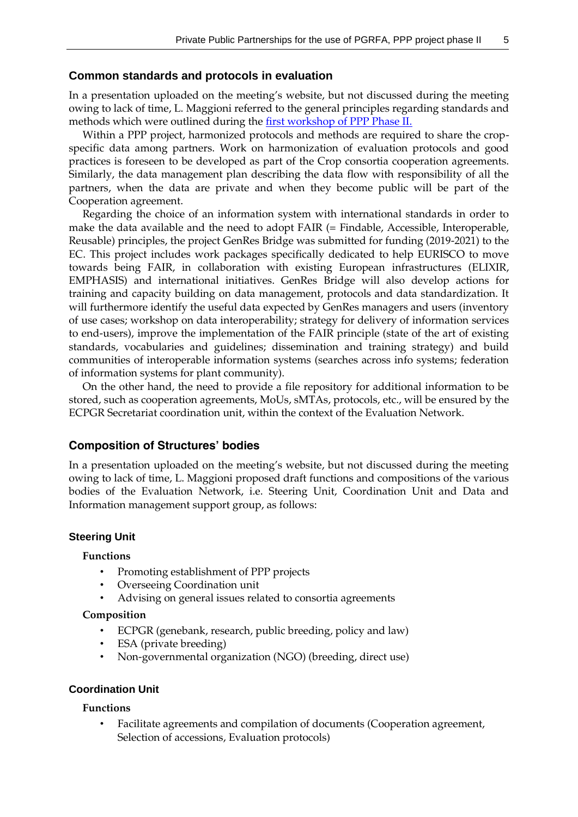#### **Common standards and protocols in evaluation**

In a presentation uploaded on the meeting's website, but not discussed during the meeting owing to lack of time, L. Maggioni referred to the general principles regarding standards and methods which were outlined during th[e first workshop of PPP Phase II.](http://www.ecpgr.cgiar.org/resources/ppp-private-public-partnerships/first-ppp-workshop-phase-ii/)

Within a PPP project, harmonized protocols and methods are required to share the cropspecific data among partners. Work on harmonization of evaluation protocols and good practices is foreseen to be developed as part of the Crop consortia cooperation agreements. Similarly, the data management plan describing the data flow with responsibility of all the partners, when the data are private and when they become public will be part of the Cooperation agreement.

Regarding the choice of an information system with international standards in order to make the data available and the need to adopt FAIR (= Findable, Accessible, Interoperable, Reusable) principles, the project GenRes Bridge was submitted for funding (2019-2021) to the EC. This project includes work packages specifically dedicated to help EURISCO to move towards being FAIR, in collaboration with existing European infrastructures (ELIXIR, EMPHASIS) and international initiatives. GenRes Bridge will also develop actions for training and capacity building on data management, protocols and data standardization. It will furthermore identify the useful data expected by GenRes managers and users (inventory of use cases; workshop on data interoperability; strategy for delivery of information services to end-users), improve the implementation of the FAIR principle (state of the art of existing standards, vocabularies and guidelines; dissemination and training strategy) and build communities of interoperable information systems (searches across info systems; federation of information systems for plant community).

On the other hand, the need to provide a file repository for additional information to be stored, such as cooperation agreements, MoUs, sMTAs, protocols, etc., will be ensured by the ECPGR Secretariat coordination unit, within the context of the Evaluation Network.

### **Composition of Structures' bodies**

In a presentation uploaded on the meeting's website, but not discussed during the meeting owing to lack of time, L. Maggioni proposed draft functions and compositions of the various bodies of the Evaluation Network, i.e. Steering Unit, Coordination Unit and Data and Information management support group, as follows:

#### **Steering Unit**

#### **Functions**

- Promoting establishment of PPP projects
- Overseeing Coordination unit
- Advising on general issues related to consortia agreements

#### **Composition**

- ECPGR (genebank, research, public breeding, policy and law)
- ESA (private breeding)
- Non-governmental organization (NGO) (breeding, direct use)

#### **Coordination Unit**

#### **Functions**

• Facilitate agreements and compilation of documents (Cooperation agreement, Selection of accessions, Evaluation protocols)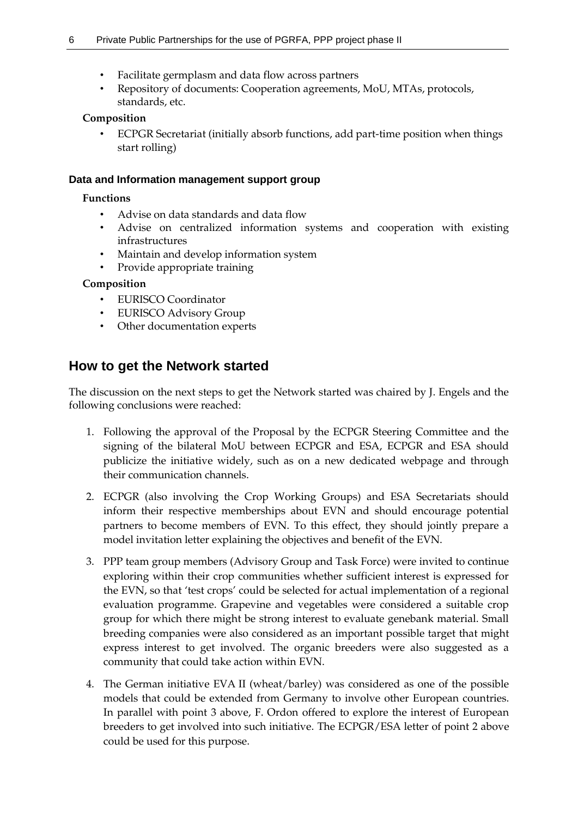- Facilitate germplasm and data flow across partners
- Repository of documents: Cooperation agreements, MoU, MTAs, protocols, standards, etc.

### **Composition**

• ECPGR Secretariat (initially absorb functions, add part-time position when things start rolling)

### **Data and Information management support group**

### **Functions**

- Advise on data standards and data flow
- Advise on centralized information systems and cooperation with existing infrastructures
- Maintain and develop information system
- Provide appropriate training

### **Composition**

- EURISCO Coordinator
- EURISCO Advisory Group
- Other documentation experts

# **How to get the Network started**

The discussion on the next steps to get the Network started was chaired by J. Engels and the following conclusions were reached:

- 1. Following the approval of the Proposal by the ECPGR Steering Committee and the signing of the bilateral MoU between ECPGR and ESA, ECPGR and ESA should publicize the initiative widely, such as on a new dedicated webpage and through their communication channels.
- 2. ECPGR (also involving the Crop Working Groups) and ESA Secretariats should inform their respective memberships about EVN and should encourage potential partners to become members of EVN. To this effect, they should jointly prepare a model invitation letter explaining the objectives and benefit of the EVN.
- 3. PPP team group members (Advisory Group and Task Force) were invited to continue exploring within their crop communities whether sufficient interest is expressed for the EVN, so that 'test crops' could be selected for actual implementation of a regional evaluation programme. Grapevine and vegetables were considered a suitable crop group for which there might be strong interest to evaluate genebank material. Small breeding companies were also considered as an important possible target that might express interest to get involved. The organic breeders were also suggested as a community that could take action within EVN.
- 4. The German initiative EVA II (wheat/barley) was considered as one of the possible models that could be extended from Germany to involve other European countries. In parallel with point 3 above, F. Ordon offered to explore the interest of European breeders to get involved into such initiative. The ECPGR/ESA letter of point 2 above could be used for this purpose.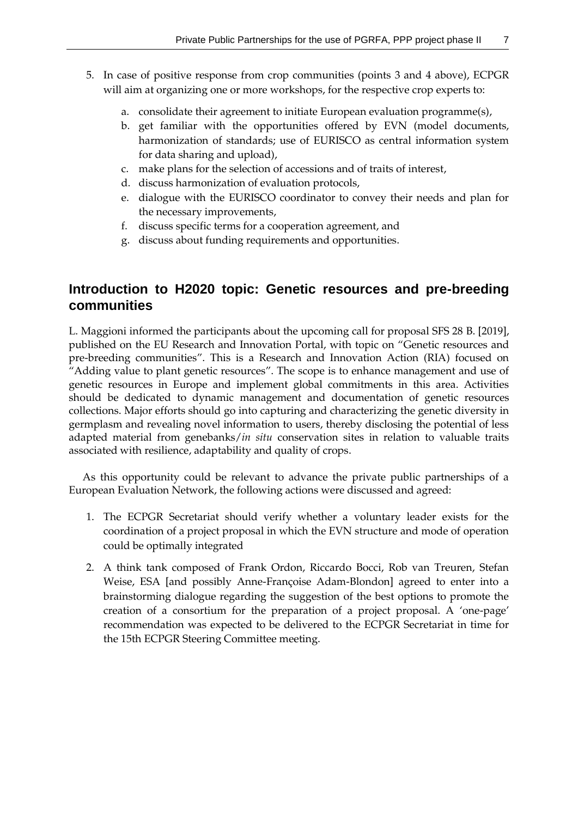- 5. In case of positive response from crop communities (points 3 and 4 above), ECPGR will aim at organizing one or more workshops, for the respective crop experts to:
	- a. consolidate their agreement to initiate European evaluation programme(s),
	- b. get familiar with the opportunities offered by EVN (model documents, harmonization of standards; use of EURISCO as central information system for data sharing and upload),
	- c. make plans for the selection of accessions and of traits of interest,
	- d. discuss harmonization of evaluation protocols,
	- e. dialogue with the EURISCO coordinator to convey their needs and plan for the necessary improvements,
	- f. discuss specific terms for a cooperation agreement, and
	- g. discuss about funding requirements and opportunities.

# **Introduction to H2020 topic: Genetic resources and pre-breeding communities**

L. Maggioni informed the participants about the upcoming call for proposal SFS 28 B. [2019], published on the EU Research and Innovation Portal, with topic on "Genetic resources and pre-breeding communities". This is a Research and Innovation Action (RIA) focused on "Adding value to plant genetic resources". The scope is to enhance management and use of genetic resources in Europe and implement global commitments in this area. Activities should be dedicated to dynamic management and documentation of genetic resources collections. Major efforts should go into capturing and characterizing the genetic diversity in germplasm and revealing novel information to users, thereby disclosing the potential of less adapted material from genebanks/*in situ* conservation sites in relation to valuable traits associated with resilience, adaptability and quality of crops.

As this opportunity could be relevant to advance the private public partnerships of a European Evaluation Network, the following actions were discussed and agreed:

- 1. The ECPGR Secretariat should verify whether a voluntary leader exists for the coordination of a project proposal in which the EVN structure and mode of operation could be optimally integrated
- 2. A think tank composed of Frank Ordon, Riccardo Bocci, Rob van Treuren, Stefan Weise, ESA [and possibly Anne-Françoise Adam-Blondon] agreed to enter into a brainstorming dialogue regarding the suggestion of the best options to promote the creation of a consortium for the preparation of a project proposal. A 'one-page' recommendation was expected to be delivered to the ECPGR Secretariat in time for the 15th ECPGR Steering Committee meeting.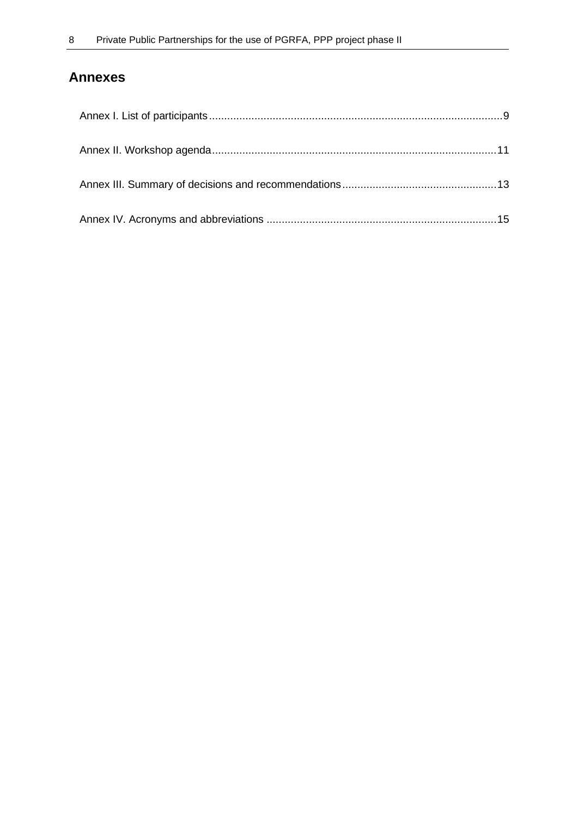# **Annexes**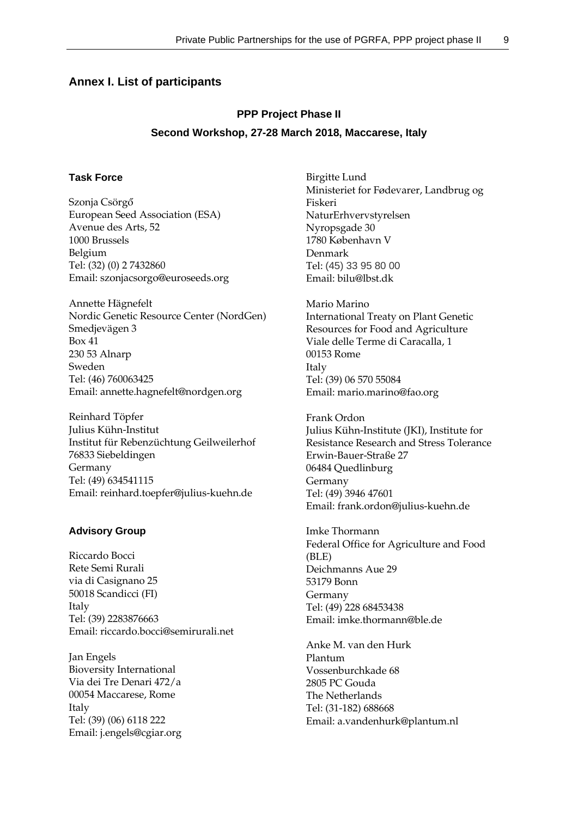### <span id="page-10-0"></span>**Annex I. List of participants**

# **PPP Project Phase II Second Workshop, 27-28 March 2018, Maccarese, Italy**

### **Task Force**

Szonja Csörgő European Seed Association (ESA) Avenue des Arts, 52 1000 Brussels Belgium Tel: (32) (0) 2 7432860 Email: szonjacsorgo@euroseeds.org

Annette Hägnefelt Nordic Genetic Resource Center (NordGen) Smedjevägen 3 Box 41 230 53 Alnarp Sweden Tel: (46) 760063425 Email: annette.hagnefelt@nordgen.org

Reinhard Töpfer Julius Kühn-Institut Institut für Rebenzüchtung Geilweilerhof 76833 Siebeldingen Germany Tel: (49) 634541115 Email: reinhard.toepfer@julius-kuehn.de

#### **Advisory Group**

Riccardo Bocci Rete Semi Rurali via di Casignano 25 50018 Scandicci (FI) Italy Tel: (39) 2283876663 Email: riccardo.bocci@semirurali.net

Jan Engels Bioversity International Via dei Tre Denari 472/a 00054 Maccarese, Rome Italy Tel: (39) (06) 6118 222 Email: j.engels@cgiar.org

Birgitte Lund Ministeriet for Fødevarer, Landbrug og Fiskeri NaturErhvervstyrelsen Nyropsgade 30 1780 København V Denmark Tel: (45) 33 95 80 00 Email: bilu@lbst.dk

Mario Marino International Treaty on Plant Genetic Resources for Food and Agriculture Viale delle Terme di Caracalla, 1 00153 Rome Italy Tel: (39) 06 570 55084 Email: mario.marino@fao.org

Frank Ordon Julius Kühn-Institute (JKI), Institute for Resistance Research and Stress Tolerance Erwin-Bauer-Straße 27 06484 Quedlinburg Germany Tel: (49) 3946 47601 Email: frank.ordon@julius-kuehn.de

Imke Thormann Federal Office for Agriculture and Food (BLE) Deichmanns Aue 29 53179 Bonn Germany Tel: (49) 228 68453438 Email: imke.thormann@ble.de

Anke M. van den Hurk Plantum Vossenburchkade 68 2805 PC Gouda The Netherlands Tel: (31-182) 688668 Email: a.vandenhurk@plantum.nl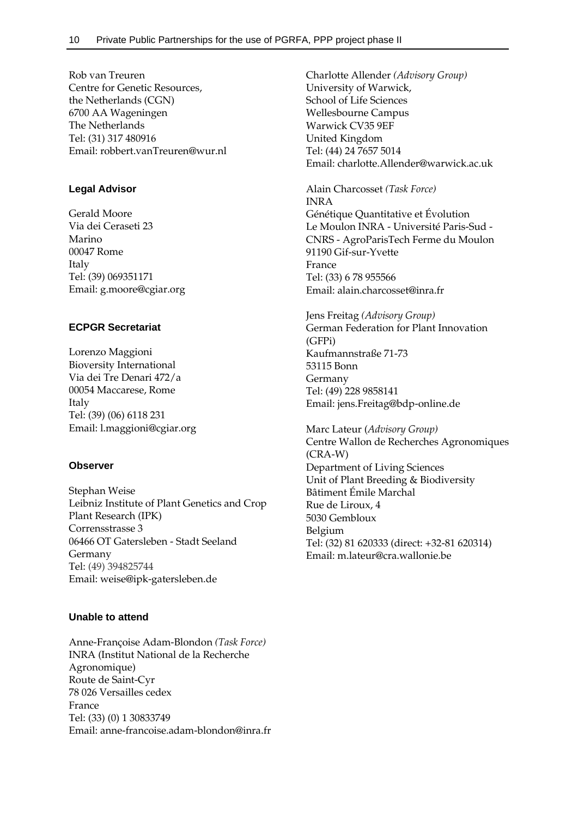Rob van Treuren Centre for Genetic Resources, the Netherlands (CGN) 6700 AA Wageningen The Netherlands Tel: (31) 317 480916 Email: robbert.vanTreuren@wur.nl

#### **Legal Advisor**

Gerald Moore Via dei Ceraseti 23 Marino 00047 Rome Italy Tel: (39) 069351171 Email: g.moore@cgiar.org

### **ECPGR Secretariat**

Lorenzo Maggioni Bioversity International Via dei Tre Denari 472/a 00054 Maccarese, Rome Italy Tel: (39) (06) 6118 231 Email: l.maggioni@cgiar.org

#### **Observer**

Stephan Weise Leibniz Institute of Plant Genetics and Crop Plant Research (IPK) Corrensstrasse 3 06466 OT Gatersleben - Stadt Seeland Germany Tel: (49) 394825744 Email: weise@ipk-gatersleben.de

### **Unable to attend**

Anne-Françoise Adam-Blondon *(Task Force)* INRA (Institut National de la Recherche Agronomique) Route de Saint-Cyr 78 026 Versailles cedex France Tel: (33) (0) 1 30833749 Email: anne-francoise.adam-blondon@inra.fr Charlotte Allender *(Advisory Group)* University of Warwick, School of Life Sciences Wellesbourne Campus Warwick CV35 9EF United Kingdom Tel: (44) 24 7657 5014 Email: charlotte.Allender@warwick.ac.uk

Alain Charcosset *(Task Force)* INRA Génétique Quantitative et Évolution Le Moulon INRA - Université Paris-Sud - CNRS - AgroParisTech Ferme du Moulon 91190 Gif-sur-Yvette France Tel: (33) 6 78 955566 Email: alain.charcosset@inra.fr

Jens Freitag *(Advisory Group)* German Federation for Plant Innovation (GFPi) Kaufmannstraße 71-73 53115 Bonn Germany Tel: (49) 228 9858141 Email: jens.Freitag@bdp-online.de

Marc Lateur (*Advisory Group)* Centre Wallon de Recherches Agronomiques (CRA-W) Department of Living Sciences Unit of Plant Breeding & Biodiversity Bâtiment Émile Marchal Rue de Liroux, 4 5030 Gembloux Belgium Tel: (32) 81 620333 (direct: +32-81 620314) Email: m.lateur@cra.wallonie.be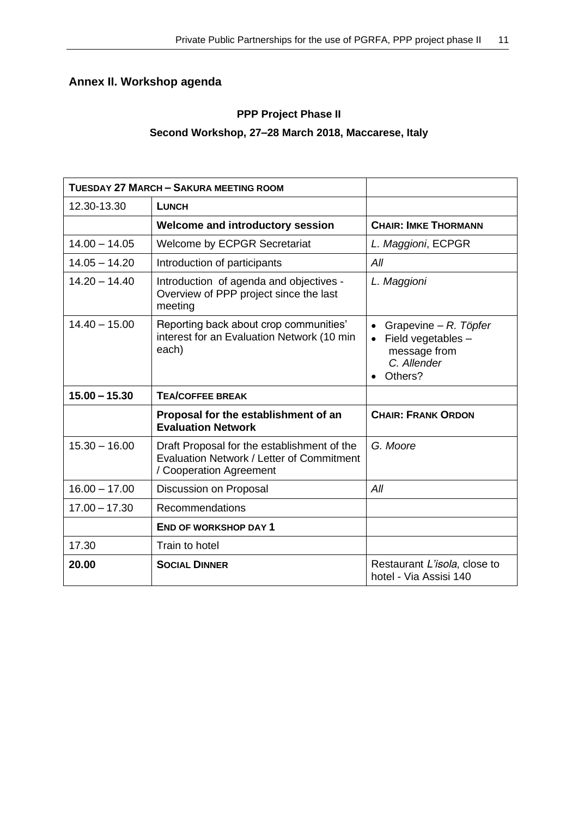# <span id="page-12-0"></span>**Annex II. Workshop agenda**

## **PPP Project Phase II**

### **Second Workshop, 27–28 March 2018, Maccarese, Italy**

| <b>TUESDAY 27 MARCH - SAKURA MEETING ROOM</b> |                                                                                                                     |                                                                                                    |
|-----------------------------------------------|---------------------------------------------------------------------------------------------------------------------|----------------------------------------------------------------------------------------------------|
| 12.30-13.30                                   | <b>LUNCH</b>                                                                                                        |                                                                                                    |
|                                               | <b>Welcome and introductory session</b>                                                                             | <b>CHAIR: IMKE THORMANN</b>                                                                        |
| $14.00 - 14.05$                               | <b>Welcome by ECPGR Secretariat</b>                                                                                 | L. Maggioni, ECPGR                                                                                 |
| $14.05 - 14.20$                               | Introduction of participants                                                                                        | All                                                                                                |
| $14.20 - 14.40$                               | Introduction of agenda and objectives -<br>Overview of PPP project since the last<br>meeting                        | L. Maggioni                                                                                        |
| $14.40 - 15.00$                               | Reporting back about crop communities'<br>interest for an Evaluation Network (10 min<br>each)                       | Grapevine – R. Töpfer<br>Field vegetables -<br>$\bullet$<br>message from<br>C. Allender<br>Others? |
| $15.00 - 15.30$                               | <b>TEA/COFFEE BREAK</b>                                                                                             |                                                                                                    |
|                                               | Proposal for the establishment of an<br><b>Evaluation Network</b>                                                   | <b>CHAIR: FRANK ORDON</b>                                                                          |
| $15.30 - 16.00$                               | Draft Proposal for the establishment of the<br>Evaluation Network / Letter of Commitment<br>/ Cooperation Agreement | G. Moore                                                                                           |
| $16.00 - 17.00$                               | Discussion on Proposal                                                                                              | All                                                                                                |
| $17.00 - 17.30$                               | Recommendations                                                                                                     |                                                                                                    |
|                                               | <b>END OF WORKSHOP DAY 1</b>                                                                                        |                                                                                                    |
| 17.30                                         | Train to hotel                                                                                                      |                                                                                                    |
| 20.00                                         | <b>SOCIAL DINNER</b>                                                                                                | Restaurant L'isola, close to<br>hotel - Via Assisi 140                                             |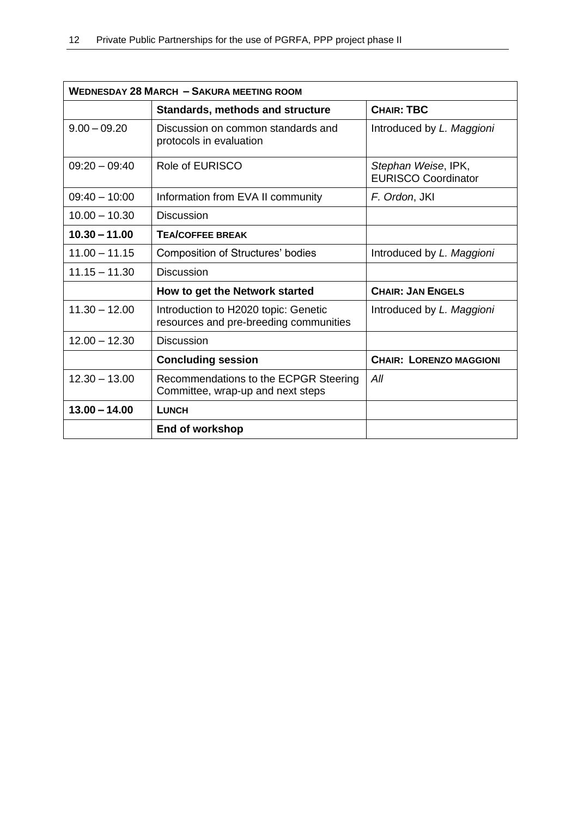| <b>WEDNESDAY 28 MARCH - SAKURA MEETING ROOM</b> |                                                                                |                                                   |  |
|-------------------------------------------------|--------------------------------------------------------------------------------|---------------------------------------------------|--|
|                                                 | Standards, methods and structure                                               | <b>CHAIR: TBC</b>                                 |  |
| $9.00 - 09.20$                                  | Discussion on common standards and<br>protocols in evaluation                  | Introduced by L. Maggioni                         |  |
| $09:20 - 09:40$                                 | Role of EURISCO                                                                | Stephan Weise, IPK,<br><b>EURISCO Coordinator</b> |  |
| $09:40 - 10:00$                                 | Information from EVA II community                                              | F. Ordon, JKI                                     |  |
| $10.00 - 10.30$                                 | <b>Discussion</b>                                                              |                                                   |  |
| $10.30 - 11.00$                                 | <b>TEA/COFFEE BREAK</b>                                                        |                                                   |  |
| $11.00 - 11.15$                                 | <b>Composition of Structures' bodies</b>                                       | Introduced by L. Maggioni                         |  |
| $11.15 - 11.30$                                 | <b>Discussion</b>                                                              |                                                   |  |
|                                                 | How to get the Network started                                                 | <b>CHAIR: JAN ENGELS</b>                          |  |
| $11.30 - 12.00$                                 | Introduction to H2020 topic: Genetic<br>resources and pre-breeding communities | Introduced by L. Maggioni                         |  |
| $12.00 - 12.30$                                 | <b>Discussion</b>                                                              |                                                   |  |
|                                                 | <b>Concluding session</b>                                                      | <b>CHAIR: LORENZO MAGGIONI</b>                    |  |
| $12.30 - 13.00$                                 | Recommendations to the ECPGR Steering<br>Committee, wrap-up and next steps     | All                                               |  |
| $13.00 - 14.00$                                 | <b>LUNCH</b>                                                                   |                                                   |  |
|                                                 | End of workshop                                                                |                                                   |  |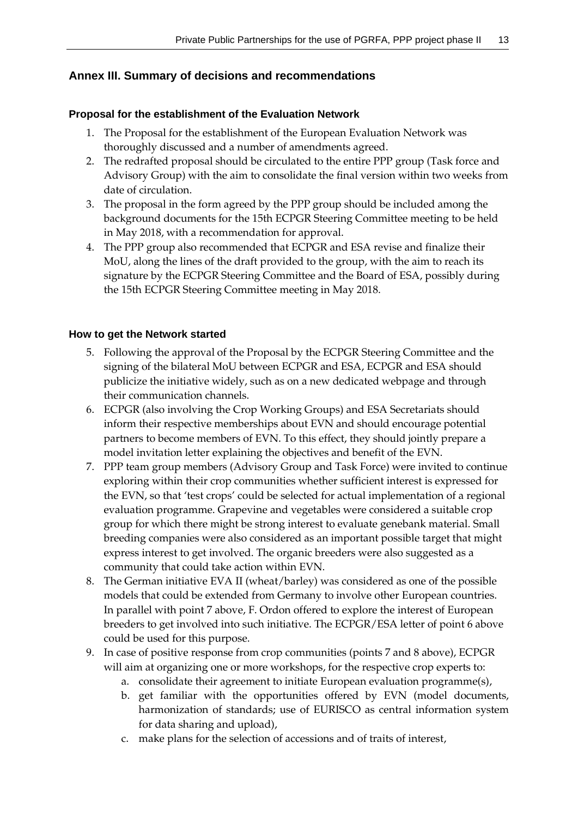### <span id="page-14-0"></span>**Annex III. Summary of decisions and recommendations**

### **Proposal for the establishment of the Evaluation Network**

- 1. The Proposal for the establishment of the European Evaluation Network was thoroughly discussed and a number of amendments agreed.
- 2. The redrafted proposal should be circulated to the entire PPP group (Task force and Advisory Group) with the aim to consolidate the final version within two weeks from date of circulation.
- 3. The proposal in the form agreed by the PPP group should be included among the background documents for the 15th ECPGR Steering Committee meeting to be held in May 2018, with a recommendation for approval.
- 4. The PPP group also recommended that ECPGR and ESA revise and finalize their MoU, along the lines of the draft provided to the group, with the aim to reach its signature by the ECPGR Steering Committee and the Board of ESA, possibly during the 15th ECPGR Steering Committee meeting in May 2018.

### **How to get the Network started**

- 5. Following the approval of the Proposal by the ECPGR Steering Committee and the signing of the bilateral MoU between ECPGR and ESA, ECPGR and ESA should publicize the initiative widely, such as on a new dedicated webpage and through their communication channels.
- 6. ECPGR (also involving the Crop Working Groups) and ESA Secretariats should inform their respective memberships about EVN and should encourage potential partners to become members of EVN. To this effect, they should jointly prepare a model invitation letter explaining the objectives and benefit of the EVN.
- 7. PPP team group members (Advisory Group and Task Force) were invited to continue exploring within their crop communities whether sufficient interest is expressed for the EVN, so that 'test crops' could be selected for actual implementation of a regional evaluation programme. Grapevine and vegetables were considered a suitable crop group for which there might be strong interest to evaluate genebank material. Small breeding companies were also considered as an important possible target that might express interest to get involved. The organic breeders were also suggested as a community that could take action within EVN.
- 8. The German initiative EVA II (wheat/barley) was considered as one of the possible models that could be extended from Germany to involve other European countries. In parallel with point 7 above, F. Ordon offered to explore the interest of European breeders to get involved into such initiative. The ECPGR/ESA letter of point 6 above could be used for this purpose.
- 9. In case of positive response from crop communities (points 7 and 8 above), ECPGR will aim at organizing one or more workshops, for the respective crop experts to:
	- a. consolidate their agreement to initiate European evaluation programme(s),
	- b. get familiar with the opportunities offered by EVN (model documents, harmonization of standards; use of EURISCO as central information system for data sharing and upload),
	- c. make plans for the selection of accessions and of traits of interest,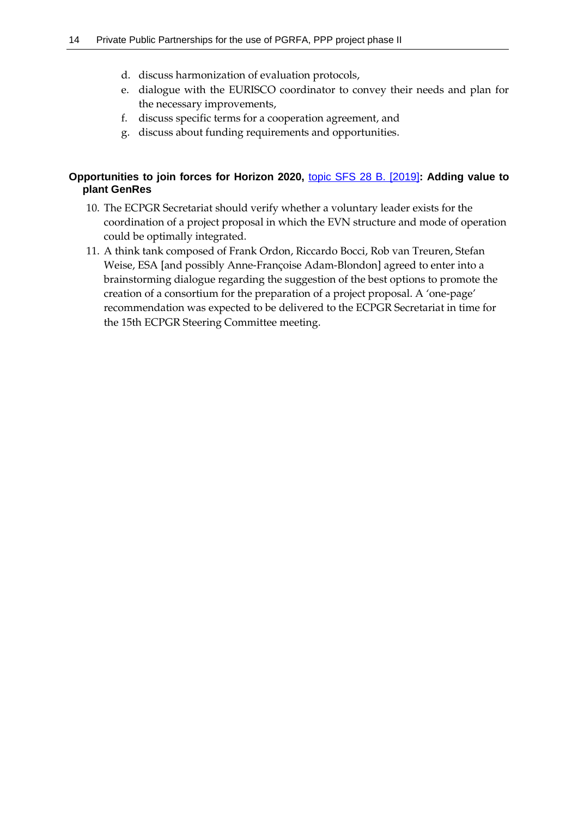- d. discuss harmonization of evaluation protocols,
- e. dialogue with the EURISCO coordinator to convey their needs and plan for the necessary improvements,
- f. discuss specific terms for a cooperation agreement, and
- g. discuss about funding requirements and opportunities.

### **Opportunities to join forces for Horizon 2020,** [topic SFS 28 B. \[2019\]](http://ec.europa.eu/research/participants/portal/desktop/en/opportunities/h2020/topics/sfs-28-2018-2019-2020.html)**: Adding value to plant GenRes**

- 10. The ECPGR Secretariat should verify whether a voluntary leader exists for the coordination of a project proposal in which the EVN structure and mode of operation could be optimally integrated.
- 11. A think tank composed of Frank Ordon, Riccardo Bocci, Rob van Treuren, Stefan Weise, ESA [and possibly Anne-Françoise Adam-Blondon] agreed to enter into a brainstorming dialogue regarding the suggestion of the best options to promote the creation of a consortium for the preparation of a project proposal. A 'one-page' recommendation was expected to be delivered to the ECPGR Secretariat in time for the 15th ECPGR Steering Committee meeting.